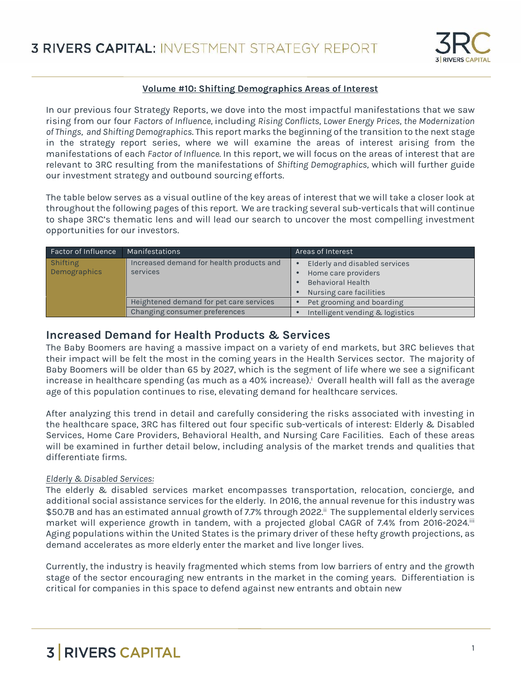

#### **Volume #10: Shifting Demographics Areas of Interest**

In our previous four Strategy Reports, we dove into the most impactful manifestations that we saw rising from our four *Factors of Influence,* including *Rising Conflicts, Lower Energy Prices, the Modernization of Things, and Shifting Demographics*. This report marks the beginning of the transition to the next stage in the strategy report series, where we will examine the areas of interest arising from the manifestations of each *Factor of Influence*. In this report, we will focus on the areas of interest that are relevant to 3RC resulting from the manifestations of *Shifting Demographics,* which will further guide our investment strategy and outbound sourcing efforts.

The table below serves as a visual outline of the key areas of interest that we will take a closer look at throughout the following pages of this report. We are tracking several sub-verticals that will continue to shape 3RC's thematic lens and will lead our search to uncover the most compelling investment opportunities for our investors.

| Factor of Influence | Manifestations                           | Areas of Interest               |
|---------------------|------------------------------------------|---------------------------------|
| Shifting            | Increased demand for health products and | Elderly and disabled services   |
| Demographics        | services                                 | Home care providers             |
|                     |                                          | <b>Behavioral Health</b>        |
|                     |                                          | Nursing care facilities         |
|                     | Heightened demand for pet care services  | Pet grooming and boarding       |
|                     | Changing consumer preferences            | Intelligent vending & logistics |

### **Increased Demand for Health Products & Services**

The Baby Boomers are having a massive impact on a variety of end markets, but 3RC believes that their impact will be felt the most in the coming years in the Health Services sector. The majority of Baby Boomers will be older than 65 by 2027, which is the segment of life where we see a significant increase in healthcare spending (as much as a 40% increase). Overall health will fall as the average age of this population continues to rise, elevating demand for healthcare services.

After analyzing this trend in detail and carefully considering the risks associated with investing in the healthcare space, 3RC has filtered out four specific sub-verticals of interest: Elderly & Disabled Services, Home Care Providers, Behavioral Health, and Nursing Care Facilities. Each of these areas will be examined in further detail below, including analysis of the market trends and qualities that differentiate firms.

#### *Elderly & Disabled Services:*

The elderly & disabled services market encompasses transportation, relocation, concierge, and additional social assistance services for the elderly. In 2016, the annual revenue for this industry was \$50.7B and has an estimated annual growth of 7.7% through 2022.ii The supplemental elderly services market will experience growth in tandem, with a projected global CAGR of 7.4% from 2016-2024.<sup>iii</sup> Aging populations within the United States is the primary driver of these hefty growth projections, as demand accelerates as more elderly enter the market and live longer lives.

Currently, the industry is heavily fragmented which stems from low barriers of entry and the growth stage of the sector encouraging new entrants in the market in the coming years. Differentiation is critical for companies in this space to defend against new entrants and obtain new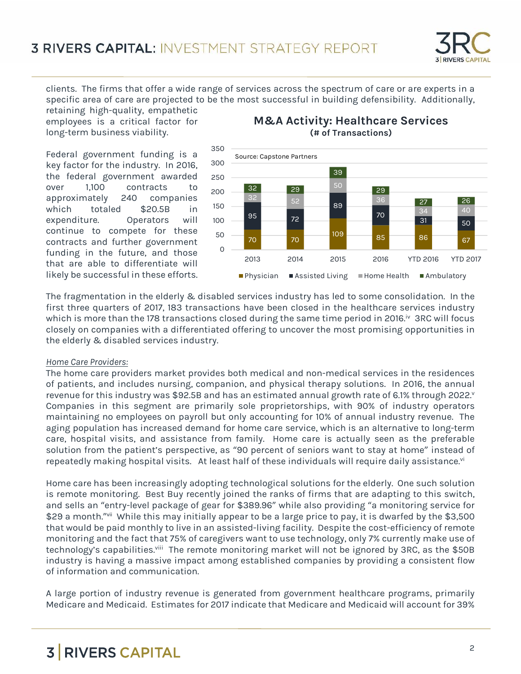

clients. The firms that offer a wide range of services across the spectrum of care or are experts in a specific area of care are projected to be the most successful in building defensibility. Additionally,

retaining high-quality, empathetic employees is a critical factor for long-term business viability.

Federal government funding is a key factor for the industry. In 2016, the federal government awarded over 1,100 contracts to approximately 240 companies which totaled \$20.5B in expenditure. Operators will continue to compete for these contracts and further government<br>funding in the future and these o funding in the future, and those that are able to differentiate will likely be successful in these efforts.

### **M&A Activity: Healthcare Services (# of Transactions)**



The fragmentation in the elderly & disabled services industry has led to some consolidation. In the first three quarters of 2017, 183 transactions have been closed in the healthcare services industry which is more than the 178 transactions closed during the same time period in 2016.<sup>iv</sup> 3RC will focus closely on companies with a differentiated offering to uncover the most promising opportunities in the elderly & disabled services industry.

#### *Home Care Providers:*

The home care providers market provides both medical and non-medical services in the residences of patients, and includes nursing, companion, and physical therapy solutions. In 2016, the annual revenue for this industry was \$92.5B and has an estimated annual growth rate of 6.1% through 2022. Companies in this segment are primarily sole proprietorships, with 90% of industry operators maintaining no employees on payroll but only accounting for 10% of annual industry revenue. The aging population has increased demand for home care service, which is an alternative to long-term care, hospital visits, and assistance from family. Home care is actually seen as the preferable solution from the patient's perspective, as "90 percent of seniors want to stay at home" instead of repeatedly making hospital visits. At least half of these individuals will require daily assistance.<sup>vi</sup>

Home care has been increasingly adopting technological solutions for the elderly. One such solution is remote monitoring. Best Buy recently joined the ranks of firms that are adapting to this switch, and sells an "entry-level package of gear for \$389.96" while also providing "a monitoring service for \$29 a month." vii While this may initially appear to be a large price to pay, it is dwarfed by the \$3,500 that would be paid monthly to live in an assisted-living facility. Despite the cost-efficiency of remote monitoring and the fact that 75% of caregivers want to use technology, only 7% currently make use of technology's capabilities.<sup>viii</sup> The remote monitoring market will not be ignored by 3RC, as the \$50B industry is having a massive impact among established companies by providing a consistent flow of information and communication.

A large portion of industry revenue is generated from government healthcare programs, primarily Medicare and Medicaid. Estimates for 2017 indicate that Medicare and Medicaid will account for 39%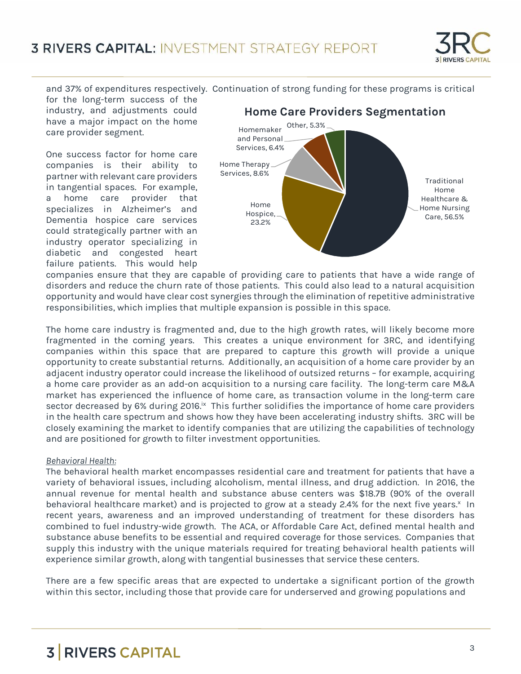

and 37% of expenditures respectively. Continuation of strong funding for these programs is critical

for the long-term success of the industry, and adjustments could have a major impact on the home care provider segment.

One success factor for home care companies is their ability to partner with relevant care providers in tangential spaces. For example, a home care provider that specializes in Alzheimer's and Dementia hospice care services could strategically partner with an industry operator specializing in diabetic and congested heart failure patients. This would help



companies ensure that they are capable of providing care to patients that have a wide range of disorders and reduce the churn rate of those patients. This could also lead to a natural acquisition opportunity and would have clear cost synergies through the elimination of repetitive administrative responsibilities, which implies that multiple expansion is possible in this space.

The home care industry is fragmented and, due to the high growth rates, will likely become more fragmented in the coming years. This creates a unique environment for 3RC, and identifying companies within this space that are prepared to capture this growth will provide a unique opportunity to create substantial returns. Additionally, an acquisition of a home care provider by an adjacent industry operator could increase the likelihood of outsized returns – for example, acquiring a home care provider as an add-on acquisition to a nursing care facility. The long-term care M&A market has experienced the influence of home care, as transaction volume in the long-term care sector decreased by 6% during 2016.<sup>ix</sup> This further solidifies the importance of home care providers in the health care spectrum and shows how they have been accelerating industry shifts. 3RC will be closely examining the market to identify companies that are utilizing the capabilities of technology and are positioned for growth to filter investment opportunities.

#### *Behavioral Health:*

The behavioral health market encompasses residential care and treatment for patients that have a variety of behavioral issues, including alcoholism, mental illness, and drug addiction. In 2016, the annual revenue for mental health and substance abuse centers was \$18.7B (90% of the overall behavioral healthcare market) and is projected to grow at a steady 2.4% for the next five years.<sup>x</sup> In recent years, awareness and an improved understanding of treatment for these disorders has combined to fuel industry-wide growth. The ACA, or Affordable Care Act, defined mental health and substance abuse benefits to be essential and required coverage for those services. Companies that supply this industry with the unique materials required for treating behavioral health patients will experience similar growth, along with tangential businesses that service these centers.

There are a few specific areas that are expected to undertake a significant portion of the growth within this sector, including those that provide care for underserved and growing populations and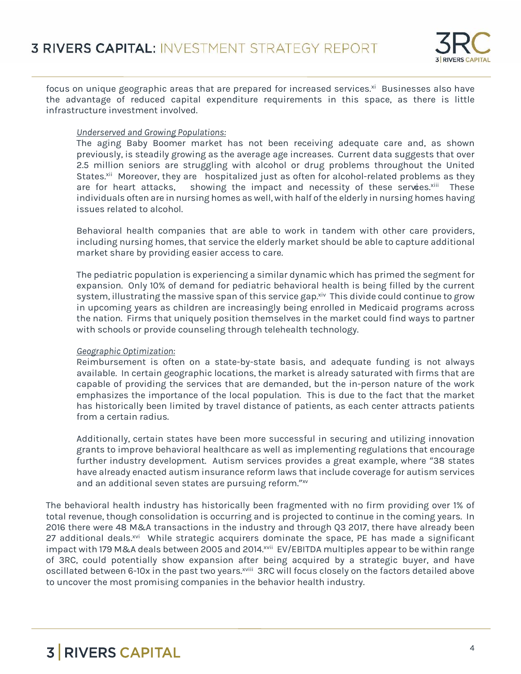

focus on unique geographic areas that are prepared for increased services.<sup>xi</sup> Businesses also have the advantage of reduced capital expenditure requirements in this space, as there is little infrastructure investment involved.

#### *Underserved and Growing Populations:*

The aging Baby Boomer market has not been receiving adequate care and, as shown previously, is steadily growing as the average age increases. Current data suggests that over 2.5 million seniors are struggling with alcohol or drug problems throughout the United States.<sup>xii</sup> Moreover, they are "hospitalized just as often for alcohol-related problems as they are for heart attacks," showing the impact and necessity of these services.<sup>xiii</sup> These individuals often are in nursing homes as well, with half of the elderly in nursing homes having issues related to alcohol.

Behavioral health companies that are able to work in tandem with other care providers, including nursing homes, that service the elderly market should be able to capture additional market share by providing easier access to care.

The pediatric population is experiencing a similar dynamic which has primed the segment for expansion. Only 10% of demand for pediatric behavioral health is being filled by the current system, illustrating the massive span of this service gap.<sup>xiv</sup> This divide could continue to grow in upcoming years as children are increasingly being enrolled in Medicaid programs across the nation. Firms that uniquely position themselves in the market could find ways to partner with schools or provide counseling through telehealth technology.

#### *Geographic Optimization:*

Reimbursement is often on a state-by-state basis, and adequate funding is not always available. In certain geographic locations, the market is already saturated with firms that are capable of providing the services that are demanded, but the in-person nature of the work emphasizes the importance of the local population. This is due to the fact that the market has historically been limited by travel distance of patients, as each center attracts patients from a certain radius.

Additionally, certain states have been more successful in securing and utilizing innovation grants to improve behavioral healthcare as well as implementing regulations that encourage further industry development. Autism services provides a great example, where "38 states have already enacted autism insurance reform laws that include coverage for autism services and an additional seven states are pursuing reform." xv

The behavioral health industry has historically been fragmented with no firm providing over 1% of total revenue, though consolidation is occurring and is projected to continue in the coming years. In 2016 there were 48 M&A transactions in the industry and through Q3 2017, there have already been 27 additional deals.<sup>xvi</sup> While strategic acquirers dominate the space, PE has made a significant impact with 179 M&A deals between 2005 and 2014.<sup>xvii</sup> EV/EBITDA multiples appear to be within range of 3RC, could potentially show expansion after being acquired by a strategic buyer, and have oscillated between 6-10x in the past two years.<sup>xviii</sup> 3RC will focus closely on the factors detailed above to uncover the most promising companies in the behavior health industry.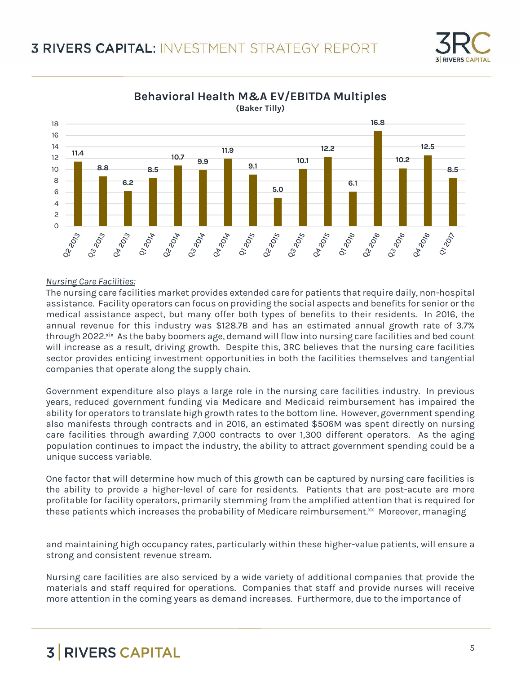



**Behavioral Health M&A EV/EBITDA Multiples**

#### *Nursing Care Facilities:*

The nursing care facilities market provides extended care for patients that require daily, non-hospital assistance. Facility operators can focus on providing the social aspects and benefits for senior or the medical assistance aspect, but many offer both types of benefits to their residents. In 2016, the annual revenue for this industry was \$128.7B and has an estimated annual growth rate of 3.7% through 2022.xix As the baby boomers age, demand will flow into nursing care facilities and bed count will increase as a result, driving growth. Despite this, 3RC believes that the nursing care facilities sector provides enticing investment opportunities in both the facilities themselves and tangential companies that operate along the supply chain.

Government expenditure also plays a large role in the nursing care facilities industry. In previous years, reduced government funding via Medicare and Medicaid reimbursement has impaired the ability for operators to translate high growth rates to the bottom line. However, government spending also manifests through contracts and in 2016, an estimated \$506M was spent directly on nursing care facilities through awarding 7,000 contracts to over 1,300 different operators. As the aging population continues to impact the industry, the ability to attract government spending could be a unique success variable.

One factor that will determine how much of this growth can be captured by nursing care facilities is the ability to provide a higher-level of care for residents. Patients that are post-acute are more profitable for facility operators, primarily stemming from the amplified attention that is required for these patients which increases the probability of Medicare reimbursement.<sup>xx</sup> Moreover, managing

and maintaining high occupancy rates, particularly within these higher-value patients, will ensure a strong and consistent revenue stream.

Nursing care facilities are also serviced by a wide variety of additional companies that provide the materials and staff required for operations. Companies that staff and provide nurses will receive more attention in the coming years as demand increases. Furthermore, due to the importance of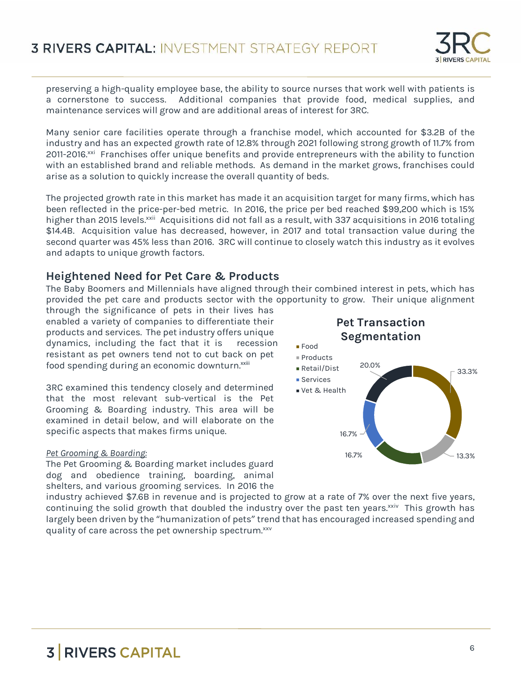

preserving a high-quality employee base, the ability to source nurses that work well with patients is a cornerstone to success. Additional companies that provide food, medical supplies, and maintenance services will grow and are additional areas of interest for 3RC.

Many senior care facilities operate through a franchise model, which accounted for \$3.2B of the industry and has an expected growth rate of 12.8% through 2021 following strong growth of 11.7% from 2011-2016.<sup>xxi</sup> Franchises offer unique benefits and provide entrepreneurs with the ability to function with an established brand and reliable methods. As demand in the market grows, franchises could arise as a solution to quickly increase the overall quantity of beds.

The projected growth rate in this market has made it an acquisition target for many firms, which has been reflected in the price-per-bed metric. In 2016, the price per bed reached \$99,200 which is 15% higher than 2015 levels.<sup>xxii</sup> Acquisitions did not fall as a result, with 337 acquisitions in 2016 totaling \$14.4B. Acquisition value has decreased, however, in 2017 and total transaction value during the second quarter was 45% less than 2016. 3RC will continue to closely watch this industry as it evolves and adapts to unique growth factors.

### **Heightened Need for Pet Care & Products**

The Baby Boomers and Millennials have aligned through their combined interest in pets, which has provided the pet care and products sector with the opportunity to grow. Their unique alignment

through the significance of pets in their lives has enabled a variety of companies to differentiate their products and services. The pet industry offers unique dynamics, including the fact that it is "recession resistant as pet owners tend not to cut back on pet food spending during an economic downturn.<sup>xxiii</sup>

3RC examined this tendency closely and determined that the most relevant sub-vertical is the Pet Grooming & Boarding industry. This area will be examined in detail below, and will elaborate on the specific aspects that makes firms unique.

#### *Pet Grooming & Boarding:*

The Pet Grooming & Boarding market includes guard dog and obedience training, boarding, animal shelters, and various grooming services. In 2016 the



industry achieved \$7.6B in revenue and is projected to grow at a rate of 7% over the next five years, continuing the solid growth that doubled the industry over the past ten years. $x_{xiv}$  This growth has largely been driven by the "humanization of pets" trend that has encouraged increased spending and quality of care across the pet ownership spectrum.xxv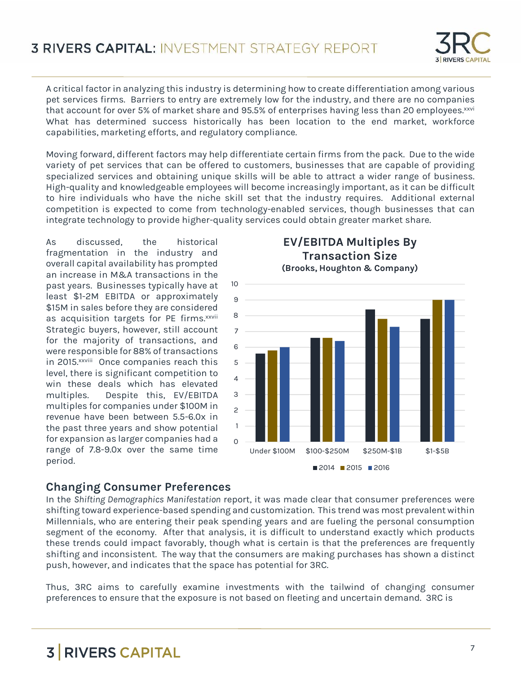A critical factor in analyzing this industry is determining how to create differentiation among various pet services firms. Barriers to entry are extremely low for the industry, and there are no companies that account for over 5% of market share and 95.5% of enterprises having less than 20 employees.<sup>xxvi</sup> What has determined success historically has been location to the end market, workforce capabilities, marketing efforts, and regulatory compliance.

Moving forward, different factors may help differentiate certain firms from the pack. Due to the wide variety of pet services that can be offered to customers, businesses that are capable of providing specialized services and obtaining unique skills will be able to attract a wider range of business. High-quality and knowledgeable employees will become increasingly important, as it can be difficult to hire individuals who have the niche skill set that the industry requires. Additional external competition is expected to come from technology-enabled services, though businesses that can integrate technology to provide higher-quality services could obtain greater market share.

As discussed, the historical fragmentation in the industry and overall capital availability has prompted an increase in M&A transactions in the past years. Businesses typically have at least \$1-2M EBITDA or approximately \$15M in sales before they are considered as acquisition targets for PE firms.<sup>xxvii</sup> Strategic buyers, however, still account for the majority of transactions, and were responsible for 88% of transactions in 2015.<sup>xxviii</sup> Once companies reach this 5 level, there is significant competition to win these deals which has elevated multiples. Despite this, EV/EBITDA multiples for companies under \$100M in revenue have been between 5.5-6.0x in the past three years and show potential for expansion as larger companies had a range of 7.8-9.0x over the same time period.

### $0$   $\qquad$  $1 -$ 2 — H 3 — H 4  $5 - H$ 6  $-$ 7 — 8 9 10 Under \$100M \$100-\$250M \$250M-\$1B \$1-\$5B **Transaction Size (Brooks, Houghton & Company)**  $2014$  2015 2016

**EV/EBITDA Multiples By**

### **Changing Consumer Preferences**

In the *Shifting Demographics Manifestation* report, it was made clear that consumer preferences were shifting toward experience-based spending and customization. This trend was most prevalent within Millennials, who are entering their peak spending years and are fueling the personal consumption segment of the economy. After that analysis, it is difficult to understand exactly which products these trends could impact favorably, though what is certain is that the preferences are frequently shifting and inconsistent. The way that the consumers are making purchases has shown a distinct push, however, and indicates that the space has potential for 3RC.

Thus, 3RC aims to carefully examine investments with the tailwind of changing consumer preferences to ensure that the exposure is not based on fleeting and uncertain demand. 3RC is

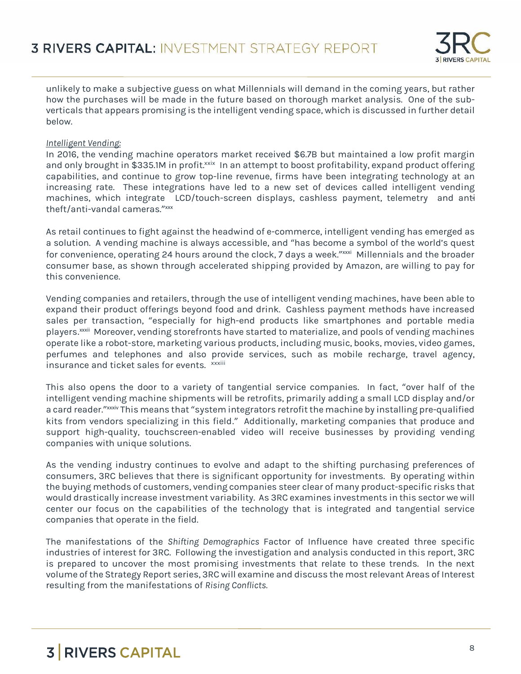

unlikely to make a subjective guess on what Millennials will demand in the coming years, but rather how the purchases will be made in the future based on thorough market analysis. One of the sub verticals that appears promising is the intelligent vending space, which is discussed in further detail below.

#### *Intelligent Vending:*

In 2016, the vending machine operators market received \$6.7B but maintained a low profit margin and only brought in \$335.1M in profit.xxix In an attempt to boost profitability, expand product offering capabilities, and continue to grow top-line revenue, firms have been integrating technology at an increasing rate. These integrations have led to a new set of devices called intelligent vending machines, which integrate "LCD/touch-screen displays, cashless payment, telemetry...and antitheft/anti-vandal cameras." xxx

As retail continues to fight against the headwind of e-commerce, intelligent vending has emerged as a solution. A vending machine is always accessible, and "has become a symbol of the world's quest for convenience, operating 24 hours around the clock, 7 days a week."<sup>xxxi</sup> Millennials and the broader consumer base, as shown through accelerated shipping provided by Amazon, are willing to pay for this convenience.

Vending companies and retailers, through the use of intelligent vending machines, have been able to expand their product offerings beyond food and drink. Cashless payment methods have increased sales per transaction, "especially for high-end products like smartphones and portable media players.<sup>xxxii</sup> Moreover, vending storefronts have started to materialize, and pools of vending machines operate like a robot-store, marketing various products, including music, books, movies, video games, perfumes and telephones and also provide services, such as mobile recharge, travel agency, insurance and ticket sales for events." xxxiii

This also opens the door to a variety of tangential service companies. In fact, "over half of the intelligent vending machine shipments will be retrofits, primarily adding a small LCD display and/or a card reader."<sup>xxxiv</sup> This means that "system integrators retrofit the machine by installing pre-qualified kits from vendors specializing in this field." Additionally, marketing companies that produce and support high-quality, touchscreen-enabled video will receive businesses by providing vending companies with unique solutions.

As the vending industry continues to evolve and adapt to the shifting purchasing preferences of consumers, 3RC believes that there is significant opportunity for investments. By operating within the buying methods of customers, vending companies steer clear of many product-specific risks that would drastically increase investment variability. As 3RC examines investments in this sector we will center our focus on the capabilities of the technology that is integrated and tangential service companies that operate in the field.

The manifestations of the *Shifting Demographics* Factor of Influence have created three specific industries of interest for 3RC. Following the investigation and analysis conducted in this report, 3RC is prepared to uncover the most promising investments that relate to these trends. In the next volume of the Strategy Report series, 3RC will examine and discuss the most relevant Areas of Interest resulting from the manifestations of *Rising Conflicts.*